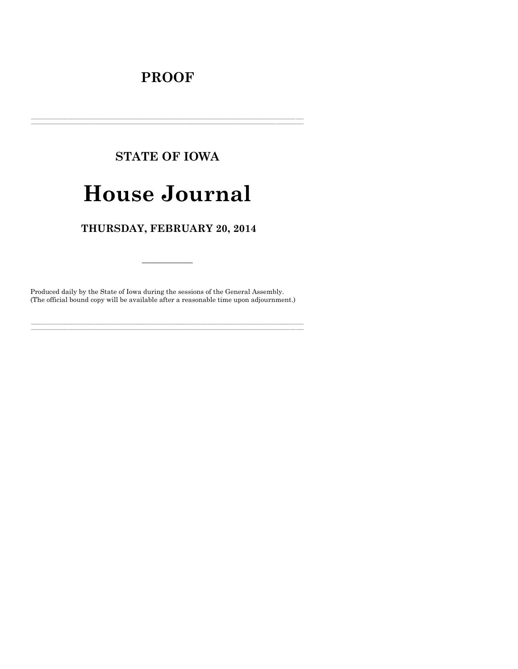## **PROOF**

# **STATE OF IOWA**

# **House Journal**

### THURSDAY, FEBRUARY 20, 2014

Produced daily by the State of Iowa during the sessions of the General Assembly. (The official bound copy will be available after a reasonable time upon adjournment.)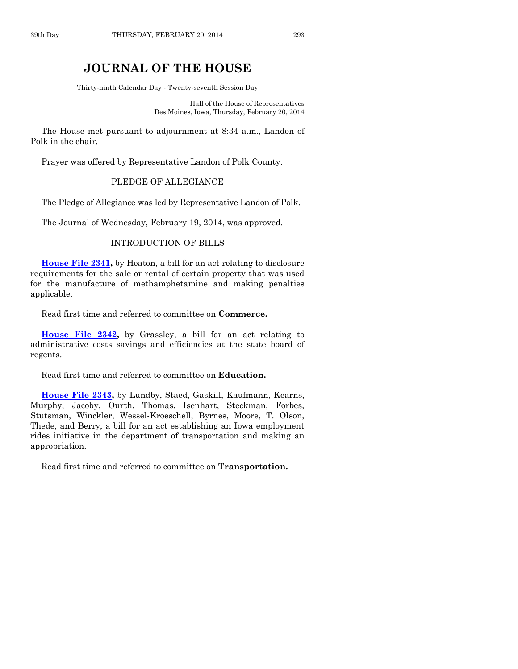#### **JOURNAL OF THE HOUSE**

Thirty-ninth Calendar Day - Twenty-seventh Session Day

Hall of the House of Representatives Des Moines, Iowa, Thursday, February 20, 2014

The House met pursuant to adjournment at 8:34 a.m., Landon of Polk in the chair.

Prayer was offered by Representative Landon of Polk County.

#### PLEDGE OF ALLEGIANCE

The Pledge of Allegiance was led by Representative Landon of Polk.

The Journal of Wednesday, February 19, 2014, was approved.

#### INTRODUCTION OF BILLS

**[House File 2341,](http://coolice.legis.iowa.gov/Cool-ICE/default.asp?Category=billinfo&Service=Billbook&frame=1&GA=85&hbill=HF2341)** by Heaton, a bill for an act relating to disclosure requirements for the sale or rental of certain property that was used for the manufacture of methamphetamine and making penalties applicable.

Read first time and referred to committee on **Commerce.**

**[House File 2342,](http://coolice.legis.iowa.gov/Cool-ICE/default.asp?Category=billinfo&Service=Billbook&frame=1&GA=85&hbill=HF2342)** by Grassley, a bill for an act relating to administrative costs savings and efficiencies at the state board of regents.

Read first time and referred to committee on **Education.**

**[House File 2343,](http://coolice.legis.iowa.gov/Cool-ICE/default.asp?Category=billinfo&Service=Billbook&frame=1&GA=85&hbill=HF2343)** by Lundby, Staed, Gaskill, Kaufmann, Kearns, Murphy, Jacoby, Ourth, Thomas, Isenhart, Steckman, Forbes, Stutsman, Winckler, Wessel-Kroeschell, Byrnes, Moore, T. Olson, Thede, and Berry, a bill for an act establishing an Iowa employment rides initiative in the department of transportation and making an appropriation.

Read first time and referred to committee on **Transportation.**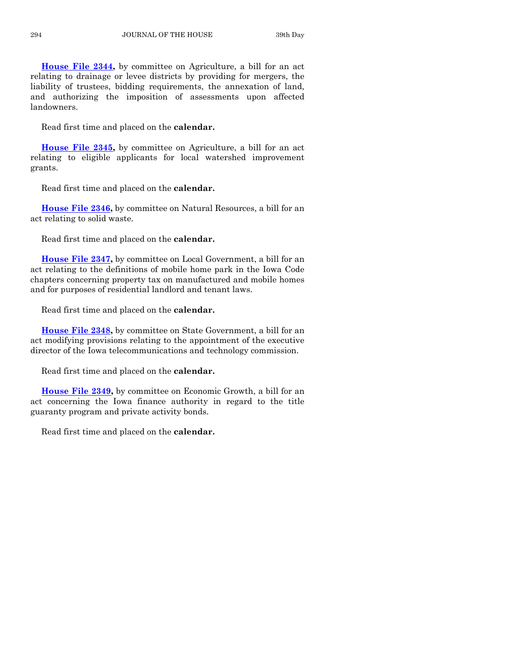**[House File 2344,](http://coolice.legis.iowa.gov/Cool-ICE/default.asp?Category=billinfo&Service=Billbook&frame=1&GA=85&hbill=HF2344)** by committee on Agriculture, a bill for an act relating to drainage or levee districts by providing for mergers, the liability of trustees, bidding requirements, the annexation of land, and authorizing the imposition of assessments upon affected landowners.

Read first time and placed on the **calendar.**

**[House File 2345,](http://coolice.legis.iowa.gov/Cool-ICE/default.asp?Category=billinfo&Service=Billbook&frame=1&GA=85&hbill=HF2345)** by committee on Agriculture, a bill for an act relating to eligible applicants for local watershed improvement grants.

Read first time and placed on the **calendar.**

**[House File 2346,](http://coolice.legis.iowa.gov/Cool-ICE/default.asp?Category=billinfo&Service=Billbook&frame=1&GA=85&hbill=HF2346)** by committee on Natural Resources, a bill for an act relating to solid waste.

Read first time and placed on the **calendar.**

**[House File 2347,](http://coolice.legis.iowa.gov/Cool-ICE/default.asp?Category=billinfo&Service=Billbook&frame=1&GA=85&hbill=HF2347)** by committee on Local Government, a bill for an act relating to the definitions of mobile home park in the Iowa Code chapters concerning property tax on manufactured and mobile homes and for purposes of residential landlord and tenant laws.

Read first time and placed on the **calendar.**

**[House File 2348,](http://coolice.legis.iowa.gov/Cool-ICE/default.asp?Category=billinfo&Service=Billbook&frame=1&GA=85&hbill=HF2348)** by committee on State Government, a bill for an act modifying provisions relating to the appointment of the executive director of the Iowa telecommunications and technology commission.

Read first time and placed on the **calendar.**

**[House File 2349,](http://coolice.legis.iowa.gov/Cool-ICE/default.asp?Category=billinfo&Service=Billbook&frame=1&GA=85&hbill=HF2349)** by committee on Economic Growth, a bill for an act concerning the Iowa finance authority in regard to the title guaranty program and private activity bonds.

Read first time and placed on the **calendar.**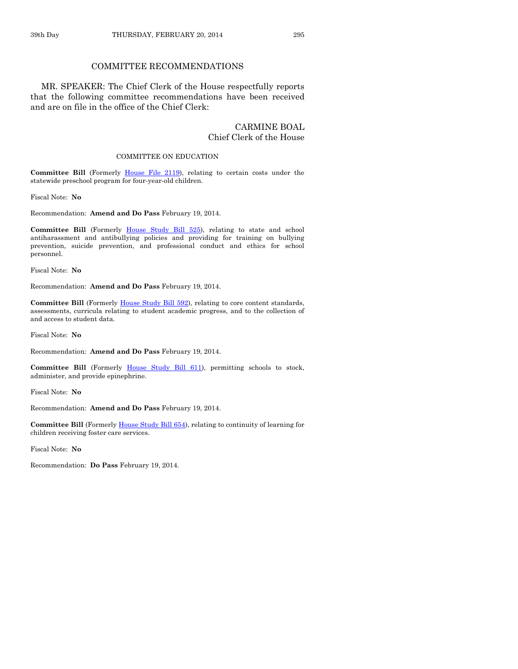#### COMMITTEE RECOMMENDATIONS

MR. SPEAKER: The Chief Clerk of the House respectfully reports that the following committee recommendations have been received and are on file in the office of the Chief Clerk:

#### CARMINE BOAL Chief Clerk of the House

#### COMMITTEE ON EDUCATION

**Committee Bill** (Formerly [House File 2119\)](http://coolice.legis.iowa.gov/Cool-ICE/default.asp?Category=billinfo&Service=Billbook&frame=1&GA=85&hbill=HF2119), relating to certain costs under the statewide preschool program for four-year-old children.

Fiscal Note: **No**

Recommendation: **Amend and Do Pass** February 19, 2014.

**Committee Bill** (Formerly [House Study Bill 525\)](http://coolice.legis.iowa.gov/Cool-ICE/default.asp?Category=billinfo&Service=Billbook&frame=1&GA=85&hbill=HSB525), relating to state and school antiharassment and antibullying policies and providing for training on bullying prevention, suicide prevention, and professional conduct and ethics for school personnel.

Fiscal Note: **No**

Recommendation: **Amend and Do Pass** February 19, 2014.

Committee Bill (Formerly [House Study Bill 592\)](http://coolice.legis.iowa.gov/Cool-ICE/default.asp?Category=billinfo&Service=Billbook&frame=1&GA=85&hbill=HSB592), relating to core content standards, assessments, curricula relating to student academic progress, and to the collection of and access to student data.

Fiscal Note: **No**

Recommendation: **Amend and Do Pass** February 19, 2014.

**Committee Bill** (Formerly [House Study Bill 611\)](http://coolice.legis.iowa.gov/Cool-ICE/default.asp?Category=billinfo&Service=Billbook&frame=1&GA=85&hbill=HSB611), permitting schools to stock, administer, and provide epinephrine.

Fiscal Note: **No**

Recommendation: **Amend and Do Pass** February 19, 2014.

**Committee Bill** (Formerl[y House Study Bill 654\)](http://coolice.legis.iowa.gov/Cool-ICE/default.asp?Category=billinfo&Service=Billbook&frame=1&GA=85&hbill=HSB654), relating to continuity of learning for children receiving foster care services.

Fiscal Note: **No**

Recommendation: **Do Pass** February 19, 2014.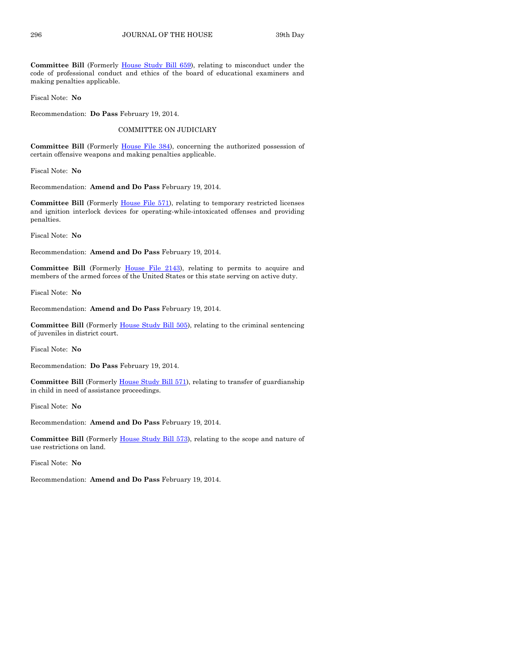**Committee Bill** (Formerly [House Study Bill 659\)](http://coolice.legis.iowa.gov/Cool-ICE/default.asp?Category=billinfo&Service=Billbook&frame=1&GA=85&hbill=HSB659), relating to misconduct under the code of professional conduct and ethics of the board of educational examiners and making penalties applicable.

Fiscal Note: **No**

Recommendation: **Do Pass** February 19, 2014.

#### COMMITTEE ON JUDICIARY

**Committee Bill** (Formerly [House File 384\)](http://coolice.legis.iowa.gov/Cool-ICE/default.asp?Category=billinfo&Service=Billbook&frame=1&GA=85&hbill=HF384), concerning the authorized possession of certain offensive weapons and making penalties applicable.

Fiscal Note: **No**

Recommendation: **Amend and Do Pass** February 19, 2014.

Committee Bill (Formerly *House File 571)*, relating to temporary restricted licenses and ignition interlock devices for operating-while-intoxicated offenses and providing penalties.

Fiscal Note: **No**

Recommendation: **Amend and Do Pass** February 19, 2014.

**Committee Bill** (Formerly [House File 2143\)](http://coolice.legis.iowa.gov/Cool-ICE/default.asp?Category=billinfo&Service=Billbook&frame=1&GA=85&hbill=HF2143), relating to permits to acquire and members of the armed forces of the United States or this state serving on active duty.

Fiscal Note: **No**

Recommendation: **Amend and Do Pass** February 19, 2014.

**Committee Bill** (Formerly [House Study Bill 505\)](http://coolice.legis.iowa.gov/Cool-ICE/default.asp?Category=billinfo&Service=Billbook&frame=1&GA=85&hbill=HSB505), relating to the criminal sentencing of juveniles in district court.

Fiscal Note: **No**

Recommendation: **Do Pass** February 19, 2014.

Committee Bill (Formerly [House Study Bill 571\),](http://coolice.legis.iowa.gov/Cool-ICE/default.asp?Category=billinfo&Service=Billbook&frame=1&GA=85&hbill=HSB571) relating to transfer of guardianship in child in need of assistance proceedings.

Fiscal Note: **No**

Recommendation: **Amend and Do Pass** February 19, 2014.

**Committee Bill** (Formerly [House Study Bill 573\)](http://coolice.legis.iowa.gov/Cool-ICE/default.asp?Category=billinfo&Service=Billbook&frame=1&GA=85&hbill=HSB573), relating to the scope and nature of use restrictions on land.

Fiscal Note: **No**

Recommendation: **Amend and Do Pass** February 19, 2014.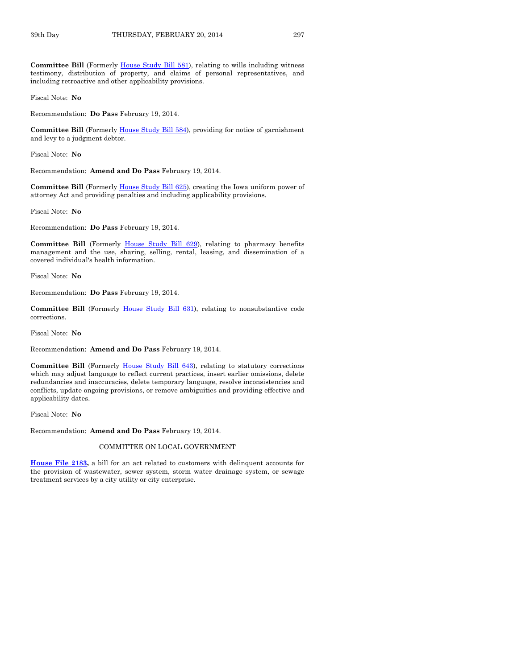**Committee Bill** (Formerly [House Study Bill 581\),](http://coolice.legis.iowa.gov/Cool-ICE/default.asp?Category=billinfo&Service=Billbook&frame=1&GA=85&hbill=HSB581) relating to wills including witness testimony, distribution of property, and claims of personal representatives, and including retroactive and other applicability provisions.

Fiscal Note: **No**

Recommendation: **Do Pass** February 19, 2014.

**Committee Bill** (Formerly [House Study Bill 584\)](http://coolice.legis.iowa.gov/Cool-ICE/default.asp?Category=billinfo&Service=Billbook&frame=1&GA=85&hbill=HSB584), providing for notice of garnishment and levy to a judgment debtor.

Fiscal Note: **No**

Recommendation: **Amend and Do Pass** February 19, 2014.

**Committee Bill** (Formerly [House Study Bill 625\)](http://coolice.legis.iowa.gov/Cool-ICE/default.asp?Category=billinfo&Service=Billbook&frame=1&GA=85&hbill=HSB625), creating the Iowa uniform power of attorney Act and providing penalties and including applicability provisions.

Fiscal Note: **No**

Recommendation: **Do Pass** February 19, 2014.

Committee Bill (Formerly [House Study Bill 629\)](http://coolice.legis.iowa.gov/Cool-ICE/default.asp?Category=billinfo&Service=Billbook&frame=1&GA=85&hbill=HSB629), relating to pharmacy benefits management and the use, sharing, selling, rental, leasing, and dissemination of a covered individual's health information.

Fiscal Note: **No**

Recommendation: **Do Pass** February 19, 2014.

**Committee Bill** (Formerly [House Study Bill 631\)](http://coolice.legis.iowa.gov/Cool-ICE/default.asp?Category=billinfo&Service=Billbook&frame=1&GA=85&hbill=HSB631), relating to nonsubstantive code corrections.

Fiscal Note: **No**

Recommendation: **Amend and Do Pass** February 19, 2014.

**Committee Bill** (Formerly [House Study Bill 643\)](http://coolice.legis.iowa.gov/Cool-ICE/default.asp?Category=billinfo&Service=Billbook&frame=1&GA=85&hbill=HSB643), relating to statutory corrections which may adjust language to reflect current practices, insert earlier omissions, delete redundancies and inaccuracies, delete temporary language, resolve inconsistencies and conflicts, update ongoing provisions, or remove ambiguities and providing effective and applicability dates.

Fiscal Note: **No**

Recommendation: **Amend and Do Pass** February 19, 2014.

#### COMMITTEE ON LOCAL GOVERNMENT

**[House File 2183,](http://coolice.legis.iowa.gov/Cool-ICE/default.asp?Category=billinfo&Service=Billbook&frame=1&GA=85&hbill=HF2183)** a bill for an act related to customers with delinquent accounts for the provision of wastewater, sewer system, storm water drainage system, or sewage treatment services by a city utility or city enterprise.